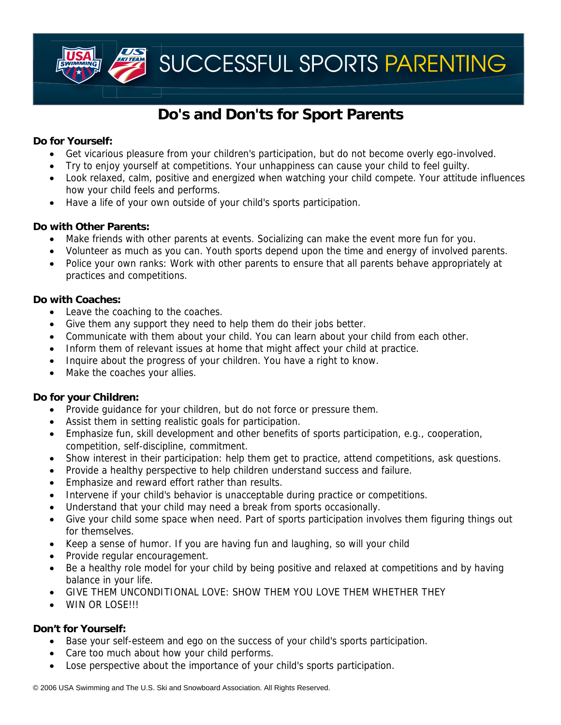SUCCESSFUL SPORTS PARENTING

# **Do's and Don'ts for Sport Parents**

# **Do for Yourself:**

- Get vicarious pleasure from your children's participation, but do not become overly ego-involved.
- Try to enjoy yourself at competitions. Your unhappiness can cause your child to feel guilty.
- Look relaxed, calm, positive and energized when watching your child compete. Your attitude influences how your child feels and performs.
- Have a life of your own outside of your child's sports participation.

# **Do with Other Parents:**

- Make friends with other parents at events. Socializing can make the event more fun for you.
- Volunteer as much as you can. Youth sports depend upon the time and energy of involved parents.
- Police your own ranks: Work with other parents to ensure that all parents behave appropriately at practices and competitions.

# **Do with Coaches:**

- Leave the coaching to the coaches.
- Give them any support they need to help them do their jobs better.
- Communicate with them about your child. You can learn about your child from each other.
- Inform them of relevant issues at home that might affect your child at practice.
- Inquire about the progress of your children. You have a right to know.
- Make the coaches your allies.

## **Do for your Children:**

- Provide guidance for your children, but do not force or pressure them.
- Assist them in setting realistic goals for participation.
- Emphasize fun, skill development and other benefits of sports participation, e.g., cooperation, competition, self-discipline, commitment.
- Show interest in their participation: help them get to practice, attend competitions, ask questions.
- Provide a healthy perspective to help children understand success and failure.
- Emphasize and reward effort rather than results.
- Intervene if your child's behavior is unacceptable during practice or competitions.
- Understand that your child may need a break from sports occasionally.
- Give your child some space when need. Part of sports participation involves them figuring things out for themselves.
- Keep a sense of humor. If you are having fun and laughing, so will your child
- Provide regular encouragement.
- Be a healthy role model for your child by being positive and relaxed at competitions and by having balance in your life.
- GIVE THEM UNCONDITIONAL LOVE: SHOW THEM YOU LOVE THEM WHETHER THEY
- WIN OR LOSE!!!

## **Don't for Yourself:**

- Base your self-esteem and ego on the success of your child's sports participation.
- Care too much about how your child performs.
- Lose perspective about the importance of your child's sports participation.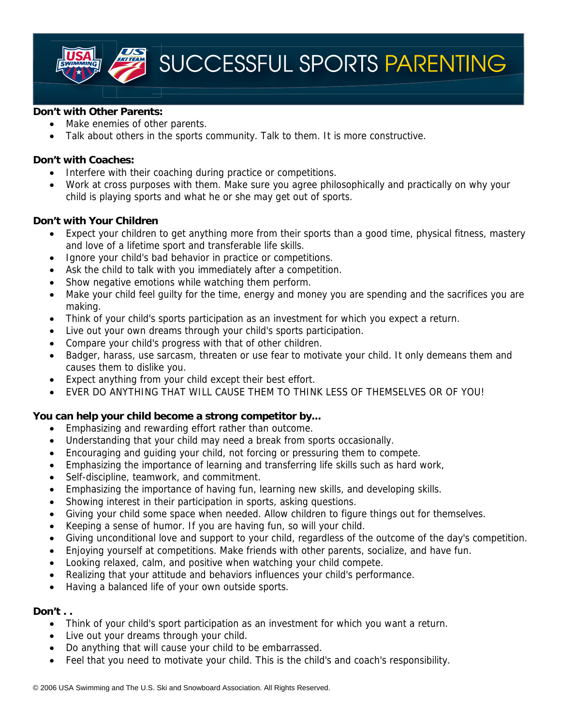SUCCESSFUL SPORTS PARENTING

#### **Don't with Other Parents:**

- Make enemies of other parents.
- Talk about others in the sports community. Talk to them. It is more constructive.

# **Don't with Coaches:**

- Interfere with their coaching during practice or competitions.
- Work at cross purposes with them. Make sure you agree philosophically and practically on why your child is playing sports and what he or she may get out of sports.

#### **Don't with Your Children**

- Expect your children to get anything more from their sports than a good time, physical fitness, mastery and love of a lifetime sport and transferable life skills.
- Ignore your child's bad behavior in practice or competitions.
- Ask the child to talk with you immediately after a competition.
- Show negative emotions while watching them perform.
- Make your child feel guilty for the time, energy and money you are spending and the sacrifices you are making.
- Think of your child's sports participation as an investment for which you expect a return.
- Live out your own dreams through your child's sports participation.
- Compare your child's progress with that of other children.
- Badger, harass, use sarcasm, threaten or use fear to motivate your child. It only demeans them and causes them to dislike you.
- Expect anything from your child except their best effort.
- EVER DO ANYTHING THAT WILL CAUSE THEM TO THINK LESS OF THEMSELVES OR OF YOU!

## **You can help your child become a strong competitor by...**

- Emphasizing and rewarding effort rather than outcome.
- Understanding that your child may need a break from sports occasionally.
- Encouraging and guiding your child, not forcing or pressuring them to compete.
- Emphasizing the importance of learning and transferring life skills such as hard work,
- Self-discipline, teamwork, and commitment.
- Emphasizing the importance of having fun, learning new skills, and developing skills.
- Showing interest in their participation in sports, asking questions.
- Giving your child some space when needed. Allow children to figure things out for themselves.
- Keeping a sense of humor. If you are having fun, so will your child.
- Giving unconditional love and support to your child, regardless of the outcome of the day's competition.
- Enjoying yourself at competitions. Make friends with other parents, socialize, and have fun.
- Looking relaxed, calm, and positive when watching your child compete.
- Realizing that your attitude and behaviors influences your child's performance.
- Having a balanced life of your own outside sports.

#### **Don't . .**

- Think of your child's sport participation as an investment for which you want a return.
- Live out your dreams through your child.
- Do anything that will cause your child to be embarrassed.
- Feel that you need to motivate your child. This is the child's and coach's responsibility.